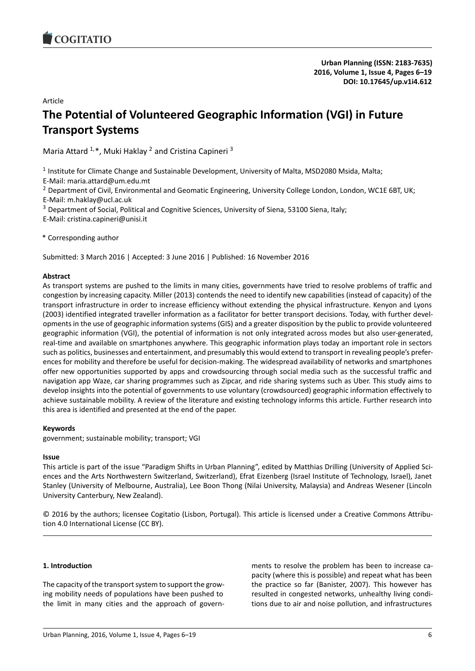### Article

# **The Potential of Volunteered Geographic Information (VGI) in Future Transport Systems**

Maria Attard <sup>1,\*</sup>, Muki Haklay <sup>2</sup> and Cristina Capineri <sup>3</sup>

<sup>1</sup> Institute for Climate Change and Sustainable Development, University of Malta, MSD2080 Msida, Malta;

E-Mail: maria.attard@um.edu.mt

<sup>2</sup> Department of Civil, Environmental and Geomatic Engineering, University College London, London, WC1E 6BT, UK;

- E-Mail: m.haklay@ucl.ac.uk
- <sup>3</sup> Department of Social, Political and Cognitive Sciences, University of Siena, 53100 Siena, Italy;

E-Mail: cristina.capineri@unisi.it

\* Corresponding author

Submitted: 3 March 2016 | Accepted: 3 June 2016 | Published: 16 November 2016

### **Abstract**

As transport systems are pushed to the limits in many cities, governments have tried to resolve problems of traffic and congestion by increasing capacity. Miller (2013) contends the need to identify new capabilities (instead of capacity) of the transport infrastructure in order to increase efficiency without extending the physical infrastructure. Kenyon and Lyons (2003) identified integrated traveller information as a facilitator for better transport decisions. Today, with further developments in the use of geographic information systems (GIS) and a greater disposition by the public to provide volunteered geographic information (VGI), the potential of information is not only integrated across modes but also user-generated, real-time and available on smartphones anywhere. This geographic information plays today an important role in sectors such as politics, businesses and entertainment, and presumably this would extend to transport in revealing people's preferences for mobility and therefore be useful for decision-making. The widespread availability of networks and smartphones offer new opportunities supported by apps and crowdsourcing through social media such as the successful traffic and navigation app Waze, car sharing programmes such as Zipcar, and ride sharing systems such as Uber. This study aims to develop insights into the potential of governments to use voluntary (crowdsourced) geographic information effectively to achieve sustainable mobility. A review of the literature and existing technology informs this article. Further research into this area is identified and presented at the end of the paper.

### **Keywords**

government; sustainable mobility; transport; VGI

### **Issue**

This article is part of the issue "Paradigm Shifts in Urban Planning", edited by Matthias Drilling (University of Applied Sciences and the Arts Northwestern Switzerland, Switzerland), Efrat Eizenberg (Israel Institute of Technology, Israel), Janet Stanley (University of Melbourne, Australia), Lee Boon Thong (Nilai University, Malaysia) and Andreas Wesener (Lincoln University Canterbury, New Zealand).

© 2016 by the authors; licensee Cogitatio (Lisbon, Portugal). This article is licensed under a Creative Commons Attribution 4.0 International License (CC BY).

### **1. Introduction**

The capacity of the transport system to support the growing mobility needs of populations have been pushed to the limit in many cities and the approach of govern-

ments to resolve the problem has been to increase capacity (where this is possible) and repeat what has been the practice so far (Banister, 2007). This however has resulted in congested networks, unhealthy living conditions due to air and noise pollution, and infrastructures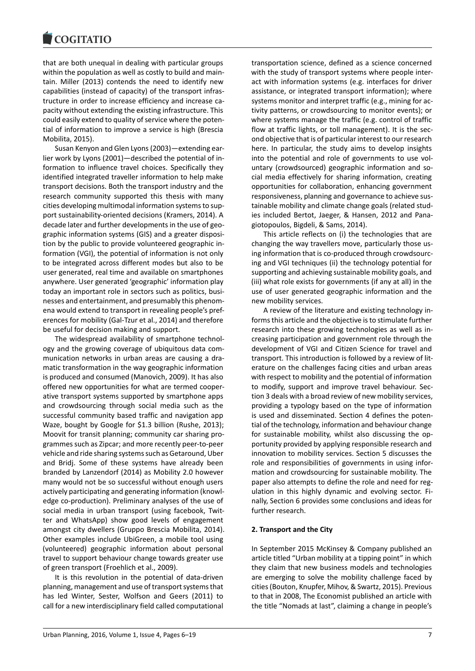that are both unequal in dealing with particular groups within the population as well as costly to build and maintain. Miller (2013) contends the need to identify new capabilities (instead of capacity) of the transport infrastructure in order to increase efficiency and increase capacity without extending the existing infrastructure. This could easily extend to quality of service where the potential of information to improve a service is high (Brescia Mobilita, 2015).

Susan Kenyon and Glen Lyons (2003)—extending earlier work by Lyons (2001)—described the potential of information to influence travel choices. Specifically they identified integrated traveller information to help make transport decisions. Both the transport industry and the research community supported this thesis with many cities developing multimodal information systems to support sustainability-oriented decisions (Kramers, 2014). A decade later and further developments in the use of geographic information systems (GIS) and a greater disposition by the public to provide volunteered geographic information (VGI), the potential of information is not only to be integrated across different modes but also to be user generated, real time and available on smartphones anywhere. User generated 'geographic' information play today an important role in sectors such as politics, businesses and entertainment, and presumably this phenomena would extend to transport in revealing people's preferences for mobility (Gal-Tzur et al., 2014) and therefore be useful for decision making and support.

The widespread availability of smartphone technology and the growing coverage of ubiquitous data communication networks in urban areas are causing a dramatic transformation in the way geographic information is produced and consumed (Manovich, 2009). It has also offered new opportunities for what are termed cooperative transport systems supported by smartphone apps and crowdsourcing through social media such as the successful community based traffic and navigation app Waze, bought by Google for \$1.3 billion (Rushe, 2013); Moovit for transit planning; community car sharing programmes such as Zipcar; and more recently peer-to-peer vehicle and ride sharing systems such as Getaround, Uber and Bridj. Some of these systems have already been branded by Lanzendorf (2014) as Mobility 2.0 however many would not be so successful without enough users actively participating and generating information (knowledge co-production). Preliminary analyses of the use of social media in urban transport (using facebook, Twitter and WhatsApp) show good levels of engagement amongst city dwellers (Gruppo Brescia Mobilita, 2014). Other examples include UbiGreen, a mobile tool using (volunteered) geographic information about personal travel to support behaviour change towards greater use of green transport (Froehlich et al., 2009).

It is this revolution in the potential of data-driven planning, management and use of transport systems that has led Winter, Sester, Wolfson and Geers (2011) to call for a new interdisciplinary field called computational transportation science, defined as a science concerned with the study of transport systems where people interact with information systems (e.g. interfaces for driver assistance, or integrated transport information); where systems monitor and interpret traffic (e.g., mining for activity patterns, or crowdsourcing to monitor events); or where systems manage the traffic (e.g. control of traffic flow at traffic lights, or toll management). It is the second objective that is of particular interest to our research here. In particular, the study aims to develop insights into the potential and role of governments to use voluntary (crowdsourced) geographic information and social media effectively for sharing information, creating opportunities for collaboration, enhancing government responsiveness, planning and governance to achieve sustainable mobility and climate change goals (related studies included Bertot, Jaeger, & Hansen, 2012 and Panagiotopoulos, Bigdeli, & Sams, 2014).

This article reflects on (i) the technologies that are changing the way travellers move, particularly those using information that is co-produced through crowdsourcing and VGI techniques (ii) the technology potential for supporting and achieving sustainable mobility goals, and (iii) what role exists for governments (if any at all) in the use of user generated geographic information and the new mobility services.

A review of the literature and existing technology informs this article and the objective is to stimulate further research into these growing technologies as well as increasing participation and government role through the development of VGI and Citizen Science for travel and transport. This introduction is followed by a review of literature on the challenges facing cities and urban areas with respect to mobility and the potential of information to modify, support and improve travel behaviour. Section 3 deals with a broad review of new mobility services, providing a typology based on the type of information is used and disseminated. Section 4 defines the potential of the technology, information and behaviour change for sustainable mobility, whilst also discussing the opportunity provided by applying responsible research and innovation to mobility services. Section 5 discusses the role and responsibilities of governments in using information and crowdsourcing for sustainable mobility. The paper also attempts to define the role and need for regulation in this highly dynamic and evolving sector. Finally, Section 6 provides some conclusions and ideas for further research.

#### **2. Transport and the City**

In September 2015 McKinsey & Company published an article titled "Urban mobility at a tipping point" in which they claim that new business models and technologies are emerging to solve the mobility challenge faced by cities (Bouton, Knupfer, Mihov, & Swartz, 2015). Previous to that in 2008, The Economist published an article with the title "Nomads at last", claiming a change in people's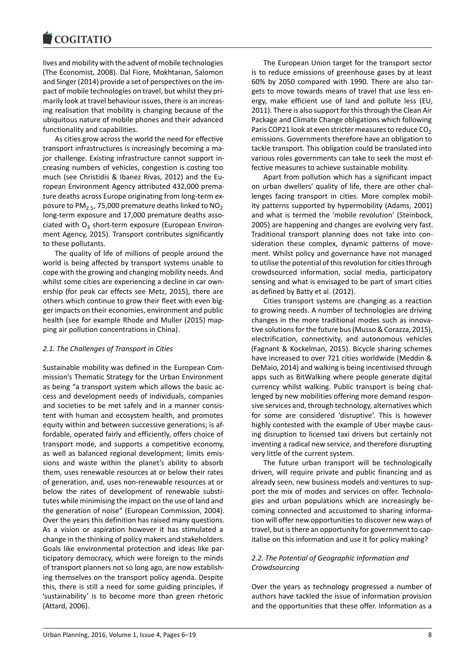#### COULTAIN

lives and mobility with the advent of mobile technologies (The Economist, 2008). Dal Fiore, Mokhtarian, Salomon and Singer (2014) provide a set of perspectives on the impact of mobile technologies on travel, but whilst they primarily look at travel behaviour issues, there is an increasing realisation that mobility is changing because of the ubiquitous nature of mobile phones and their advanced functionality and capabilities.

As cities grow across the world the need for effective transport infrastructures is increasingly becoming a major challenge. Existing infrastructure cannot support increasing numbers of vehicles, congestion is costing too much (see Christidis & Ibanez Rivas, 2012) and the European Environment Agency attributed 432,000 premature deaths across Europe originating from long-term exposure to  $PM_{2.5}$ , 75,000 premature deaths linked to  $NO_2$ long-term exposure and 17,000 premature deaths associated with  $O_3$  short-term exposure (European Environment Agency, 2015). Transport contributes significantly to these pollutants.

The quality of life of millions of people around the world is being affected by transport systems unable to cope with the growing and changing mobility needs. And whilst some cities are experiencing a decline in car ownership (for peak car effects see Metz, 2015), there are others which continue to grow their fleet with even bigger impacts on their economies, environment and public health (see for example Rhode and Muller (2015) mapping air pollution concentrations in China).

#### *2.1. The Challenges of Transport in Cities*

Sustainable mobility was defined in the European Commission's Thematic Strategy for the Urban Environment as being "a transport system which allows the basic access and development needs of individuals, companies and societies to be met safely and in a manner consistent with human and ecosystem health, and promotes equity within and between successive generations; is affordable, operated fairly and efficiently, offers choice of transport mode, and supports a competitive economy, as well as balanced regional development; limits emissions and waste within the planet's ability to absorb them, uses renewable resources at or below their rates of generation, and, uses non-renewable resources at or below the rates of development of renewable substitutes while minimising the impact on the use of land and the generation of noise" (European Commission, 2004). Over the years this definition has raised many questions. As a vision or aspiration however it has stimulated a change in the thinking of policy makers and stakeholders. Goals like environmental protection and ideas like participatory democracy, which were foreign to the minds of transport planners not so long ago, are now establishing themselves on the transport policy agenda. Despite this, there is still a need for some guiding principles, if 'sustainability' is to become more than green rhetoric (Attard, 2006).

The European Union target for the transport sector is to reduce emissions of greenhouse gases by at least 60% by 2050 compared with 1990. There are also targets to move towards means of travel that use less energy, make efficient use of land and pollute less (EU, 2011). There is also support for this through the Clean Air Package and Climate Change obligations which following Paris COP21 look at even stricter measures to reduce  $CO<sub>2</sub>$ emissions. Governments therefore have an obligation to tackle transport. This obligation could be translated into various roles governments can take to seek the most effective measures to achieve sustainable mobility.

Apart from pollution which has a significant impact on urban dwellers' quality of life, there are other challenges facing transport in cities. More complex mobility patterns supported by hypermobility (Adams, 2001) and what is termed the 'mobile revolution' (Steinbock, 2005) are happening and changes are evolving very fast. Traditional transport planning does not take into consideration these complex, dynamic patterns of movement. Whilst policy and governance have not managed to utilise the potential of this revolution for cities through crowdsourced information, social media, participatory sensing and what is envisaged to be part of smart cities as defined by Batty et al. (2012).

Cities transport systems are changing as a reaction to growing needs. A number of technologies are driving changes in the more traditional modes such as innovative solutions for the future bus (Musso & Corazza, 2015), electrification, connectivity, and autonomous vehicles (Fagnant & Kockelman, 2015). Bicycle sharing schemes have increased to over 721 cities worldwide (Meddin & DeMaio, 2014) and walking is being incentivised through apps such as BitWalking where people generate digital currency whilst walking. Public transport is being challenged by new mobilities offering more demand responsive services and, through technology, alternatives which for some are considered 'disruptive'. This is however highly contested with the example of Uber maybe causing disruption to licensed taxi drivers but certainly not inventing a radical new service, and therefore disrupting very little of the current system.

The future urban transport will be technologically driven, will require private and public financing and as already seen, new business models and ventures to support the mix of modes and services on offer. Technologies and urban populations which are increasingly becoming connected and accustomed to sharing information will offer new opportunities to discover new ways of travel, but is there an opportunity for government to capitalise on this information and use it for policy making?

### *2.2. The Potential of Geographic Information and Crowdsourcing*

Over the years as technology progressed a number of authors have tackled the issue of information provision and the opportunities that these offer. Information as a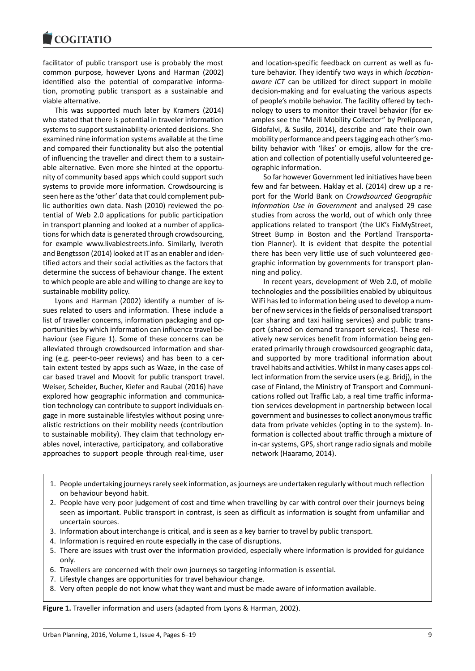#### COULTAIN

facilitator of public transport use is probably the most common purpose, however Lyons and Harman (2002) identified also the potential of comparative information, promoting public transport as a sustainable and viable alternative.

This was supported much later by Kramers (2014) who stated that there is potential in traveler information systems to support sustainability-oriented decisions. She examined nine information systems available at the time and compared their functionality but also the potential of influencing the traveller and direct them to a sustainable alternative. Even more she hinted at the opportunity of community based apps which could support such systems to provide more information. Crowdsourcing is seen here as the 'other' data that could complement public authorities own data. Nash (2010) reviewed the potential of Web 2.0 applications for public participation in transport planning and looked at a number of applications for which data is generated through crowdsourcing, for example www.livablestreets.info. Similarly, Iveroth and Bengtsson (2014) looked at IT as an enabler and identified actors and their social activities as the factors that determine the success of behaviour change. The extent to which people are able and willing to change are key to sustainable mobility policy.

Lyons and Harman (2002) identify a number of issues related to users and information. These include a list of traveller concerns, information packaging and opportunities by which information can influence travel behaviour (see Figure 1). Some of these concerns can be alleviated through crowdsourced information and sharing (e.g. peer-to-peer reviews) and has been to a certain extent tested by apps such as Waze, in the case of car based travel and Moovit for public transport travel. Weiser, Scheider, Bucher, Kiefer and Raubal (2016) have explored how geographic information and communication technology can contribute to support individuals engage in more sustainable lifestyles without posing unrealistic restrictions on their mobility needs (contribution to sustainable mobility). They claim that technology enables novel, interactive, participatory, and collaborative approaches to support people through real-time, user

and location-specific feedback on current as well as future behavior. They identify two ways in which *locationaware ICT* can be utilized for direct support in mobile decision-making and for evaluating the various aspects of people's mobile behavior. The facility offered by technology to users to monitor their travel behavior (for examples see the "Meili Mobility Collector" by Prelipcean, Gidofalvi, & Susilo, 2014), describe and rate their own mobility performance and peers tagging each other's mobility behavior with 'likes' or emojis, allow for the creation and collection of potentially useful volunteered geographic information.

So far however Government led initiatives have been few and far between. Haklay et al. (2014) drew up a report for the World Bank on *Crowdsourced Geographic Information Use in Government* and analysed 29 case studies from across the world, out of which only three applications related to transport (the UK's FixMyStreet, Street Bump in Boston and the Portland Transportation Planner). It is evident that despite the potential there has been very little use of such volunteered geographic information by governments for transport planning and policy.

In recent years, development of Web 2.0, of mobile technologies and the possibilities enabled by ubiquitous WiFi has led to information being used to develop a number of new services in the fields of personalised transport (car sharing and taxi hailing services) and public transport (shared on demand transport services). These relatively new services benefit from information being generated primarily through crowdsourced geographic data, and supported by more traditional information about travel habits and activities. Whilst in many cases apps collect information from the service users (e.g. Bridj), in the case of Finland, the Ministry of Transport and Communications rolled out Traffic Lab, a real time traffic information services development in partnership between local government and businesses to collect anonymous traffic data from private vehicles (opting in to the system). Information is collected about traffic through a mixture of in-car systems, GPS, short range radio signals and mobile network (Haaramo, 2014).

- 1. People undertaking journeys rarely seek information, as journeys are undertaken regularly without much reflection on behaviour beyond habit.
- 2. People have very poor judgement of cost and time when travelling by car with control over their journeys being seen as important. Public transport in contrast, is seen as difficult as information is sought from unfamiliar and uncertain sources.
- 3. Information about interchange is critical, and is seen as a key barrier to travel by public transport.
- 4. Information is required en route especially in the case of disruptions.
- 5. There are issues with trust over the information provided, especially where information is provided for guidance only.
- 6. Travellers are concerned with their own journeys so targeting information is essential.
- 7. Lifestyle changes are opportunities for travel behaviour change.
- 8. Very often people do not know what they want and must be made aware of information available.

**Figure 1.** Traveller information and users (adapted from Lyons & Harman, 2002).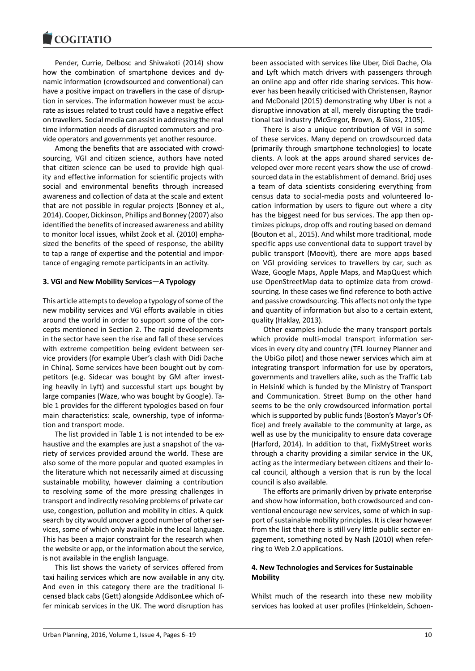#### **LOQUATIO**

Pender, Currie, Delbosc and Shiwakoti (2014) show how the combination of smartphone devices and dynamic information (crowdsourced and conventional) can have a positive impact on travellers in the case of disruption in services. The information however must be accurate as issues related to trust could have a negative effect on travellers. Social media can assist in addressing the real time information needs of disrupted commuters and provide operators and governments yet another resource.

Among the benefits that are associated with crowdsourcing, VGI and citizen science, authors have noted that citizen science can be used to provide high quality and effective information for scientific projects with social and environmental benefits through increased awareness and collection of data at the scale and extent that are not possible in regular projects (Bonney et al., 2014). Cooper, Dickinson, Phillips and Bonney (2007) also identified the benefits of increased awareness and ability to monitor local issues, whilst Zook et al. (2010) emphasized the benefits of the speed of response, the ability to tap a range of expertise and the potential and importance of engaging remote participants in an activity.

#### **3. VGI and New Mobility Services—A Typology**

This article attempts to develop a typology of some of the new mobility services and VGI efforts available in cities around the world in order to support some of the concepts mentioned in Section 2. The rapid developments in the sector have seen the rise and fall of these services with extreme competition being evident between service providers (for example Uber's clash with Didi Dache in China). Some services have been bought out by competitors (e.g. Sidecar was bought by GM after investing heavily in Lyft) and successful start ups bought by large companies (Waze, who was bought by Google). Table 1 provides for the different typologies based on four main characteristics: scale, ownership, type of information and transport mode.

The list provided in Table 1 is not intended to be exhaustive and the examples are just a snapshot of the variety of services provided around the world. These are also some of the more popular and quoted examples in the literature which not necessarily aimed at discussing sustainable mobility, however claiming a contribution to resolving some of the more pressing challenges in transport and indirectly resolving problems of private car use, congestion, pollution and mobility in cities. A quick search by city would uncover a good number of other services, some of which only available in the local language. This has been a major constraint for the research when the website or app, or the information about the service, is not available in the english language.

This list shows the variety of services offered from taxi hailing services which are now available in any city. And even in this category there are the traditional licensed black cabs (Gett) alongside AddisonLee which offer minicab services in the UK. The word disruption has

been associated with services like Uber, Didi Dache, Ola and Lyft which match drivers with passengers through an online app and offer ride sharing services. This however has been heavily criticised with Christensen, Raynor and McDonald (2015) demonstrating why Uber is not a disruptive innovation at all, merely disrupting the traditional taxi industry (McGregor, Brown, & Gloss, 2105).

There is also a unique contribution of VGI in some of these services. Many depend on crowdsourced data (primarily through smartphone technologies) to locate clients. A look at the apps around shared services developed over more recent years show the use of crowdsourced data in the establishment of demand. Bridj uses a team of data scientists considering everything from census data to social-media posts and volunteered location information by users to figure out where a city has the biggest need for bus services. The app then optimizes pickups, drop offs and routing based on demand (Bouton et al., 2015). And whilst more traditional, mode specific apps use conventional data to support travel by public transport (Moovit), there are more apps based on VGI providing services to travellers by car, such as Waze, Google Maps, Apple Maps, and MapQuest which use OpenStreetMap data to optimize data from crowdsourcing. In these cases we find reference to both active and passive crowdsourcing. This affects not only the type and quantity of information but also to a certain extent, quality (Haklay, 2013).

Other examples include the many transport portals which provide multi-modal transport information services in every city and country (TFL Journey Planner and the UbiGo pilot) and those newer services which aim at integrating transport information for use by operators, governments and travellers alike, such as the Traffic Lab in Helsinki which is funded by the Ministry of Transport and Communication. Street Bump on the other hand seems to be the only crowdsourced information portal which is supported by public funds (Boston's Mayor's Office) and freely available to the community at large, as well as use by the municipality to ensure data coverage (Harford, 2014). In addition to that, FixMyStreet works through a charity providing a similar service in the UK, acting as the intermediary between citizens and their local council, although a version that is run by the local council is also available.

The efforts are primarily driven by private enterprise and show how information, both crowdsourced and conventional encourage new services, some of which in support of sustainable mobility principles. It is clear however from the list that there is still very little public sector engagement, something noted by Nash (2010) when referring to Web 2.0 applications.

#### **4. New Technologies and Services for Sustainable Mobility**

Whilst much of the research into these new mobility services has looked at user profiles (Hinkeldein, Schoen-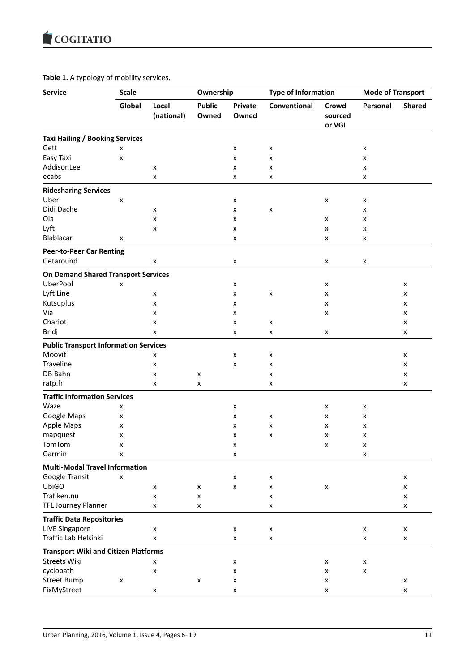# **Table 1.** A typology of mobility services.

| <b>Service</b>                               | <b>Scale</b> |                     | Ownership              |                         | <b>Type of Information</b> |                            | <b>Mode of Transport</b> |               |
|----------------------------------------------|--------------|---------------------|------------------------|-------------------------|----------------------------|----------------------------|--------------------------|---------------|
|                                              | Global       | Local<br>(national) | <b>Public</b><br>Owned | <b>Private</b><br>Owned | Conventional               | Crowd<br>sourced<br>or VGI | Personal                 | <b>Shared</b> |
| <b>Taxi Hailing / Booking Services</b>       |              |                     |                        |                         |                            |                            |                          |               |
| Gett                                         | x            |                     |                        | x                       | X                          |                            | x                        |               |
| Easy Taxi                                    | x            |                     |                        | x                       | х                          |                            | x                        |               |
| AddisonLee                                   |              | x                   |                        | x                       | x                          |                            | x                        |               |
| ecabs                                        |              | x                   |                        | x                       | x                          |                            | x                        |               |
| <b>Ridesharing Services</b>                  |              |                     |                        |                         |                            |                            |                          |               |
| Uber                                         | x            |                     |                        | x                       |                            | X                          | x                        |               |
| Didi Dache                                   |              | x                   |                        | x                       | x                          |                            | x                        |               |
| Ola                                          |              | x                   |                        | x                       |                            | X                          | x                        |               |
| Lyft                                         |              | x                   |                        | x                       |                            | x                          | x                        |               |
| Blablacar                                    | x            |                     |                        | x                       |                            | X                          | x                        |               |
| <b>Peer-to-Peer Car Renting</b>              |              |                     |                        |                         |                            |                            |                          |               |
| Getaround                                    |              | x                   |                        | x                       |                            | X                          | x                        |               |
| <b>On Demand Shared Transport Services</b>   |              |                     |                        |                         |                            |                            |                          |               |
| UberPool                                     | x            |                     |                        | x                       |                            | x                          |                          | x             |
| Lyft Line                                    |              | x                   |                        | x                       | x                          | x                          |                          | x             |
| Kutsuplus                                    |              | x                   |                        | x                       |                            | x                          |                          | x             |
| Via                                          |              | x                   |                        | x                       |                            | x                          |                          | x             |
| Chariot                                      |              | x                   |                        | x                       | x                          |                            |                          | x             |
| Bridj                                        |              | x                   |                        | x                       | x                          | X                          |                          | x             |
| <b>Public Transport Information Services</b> |              |                     |                        |                         |                            |                            |                          |               |
| Moovit                                       |              | x                   |                        | x                       | х                          |                            |                          | x             |
| Traveline                                    |              | x                   |                        | x                       | х                          |                            |                          | x             |
| DB Bahn                                      |              | X                   | x                      |                         | х                          |                            |                          | x             |
| ratp.fr                                      |              | x                   | x                      |                         | x                          |                            |                          | x             |
| <b>Traffic Information Services</b>          |              |                     |                        |                         |                            |                            |                          |               |
| Waze                                         | x            |                     |                        | x                       |                            | x                          | x                        |               |
| Google Maps                                  | x            |                     |                        | x                       | x                          | x                          | x                        |               |
| Apple Maps                                   | x            |                     |                        | x                       | x                          | x                          | x                        |               |
| mapquest                                     | x            |                     |                        | x                       | х                          | x                          | x                        |               |
| TomTom                                       | X            |                     |                        | X                       |                            | X                          | X                        |               |
| Garmin                                       | x            |                     |                        | x                       |                            |                            | x                        |               |
| <b>Multi-Modal Travel Information</b>        |              |                     |                        |                         |                            |                            |                          |               |
| Google Transit                               | X            |                     |                        | x                       | x                          |                            |                          | X             |
| UbiGO                                        |              | X                   | x                      | $\pmb{\mathsf{X}}$      | x                          | x                          |                          | x             |
| Trafiken.nu                                  |              | $\pmb{\mathsf{x}}$  | x                      |                         | x                          |                            |                          | x             |
| <b>TFL Journey Planner</b>                   |              | x                   | x                      |                         | X                          |                            |                          | x             |
| <b>Traffic Data Repositories</b>             |              |                     |                        |                         |                            |                            |                          |               |
| <b>LIVE Singapore</b>                        |              | x                   |                        | x                       | x                          |                            | x                        | X             |
| Traffic Lab Helsinki                         |              | $\pmb{\times}$      |                        | x                       | X                          |                            | X                        | X             |
| <b>Transport Wiki and Citizen Platforms</b>  |              |                     |                        |                         |                            |                            |                          |               |
| <b>Streets Wiki</b>                          |              | x                   |                        | X                       |                            | x                          | x                        |               |
| cyclopath                                    |              | x                   |                        | x                       |                            | x                          | x                        |               |
| <b>Street Bump</b>                           | x            |                     | x                      | x                       |                            | x                          |                          | X             |
| FixMyStreet                                  |              | X                   |                        | x                       |                            | x                          |                          | x             |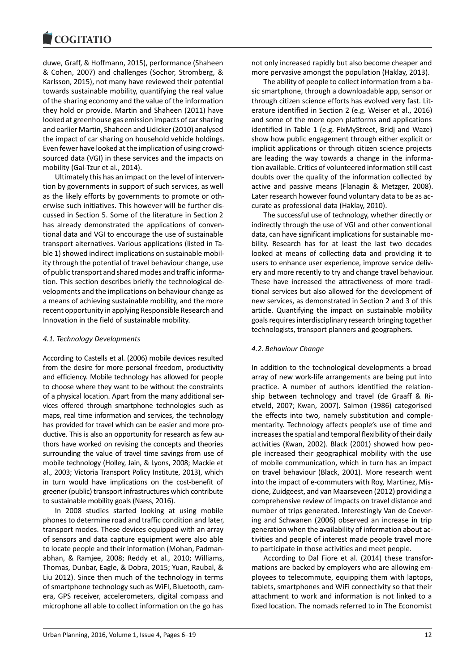#### **COMBITATIO**

duwe, Graff, & Hoffmann, 2015), performance (Shaheen & Cohen, 2007) and challenges (Sochor, Stromberg, & Karlsson, 2015), not many have reviewed their potential towards sustainable mobility, quantifying the real value of the sharing economy and the value of the information they hold or provide. Martin and Shaheen (2011) have looked at greenhouse gas emission impacts of car sharing and earlier Martin, Shaheen and Lidicker (2010) analysed the impact of car sharing on household vehicle holdings. Even fewer have looked at the implication of using crowdsourced data (VGI) in these services and the impacts on mobility (Gal-Tzur et al., 2014).

Ultimately this has an impact on the level of intervention by governments in support of such services, as well as the likely efforts by governments to promote or otherwise such initiatives. This however will be further discussed in Section 5. Some of the literature in Section 2 has already demonstrated the applications of conventional data and VGI to encourage the use of sustainable transport alternatives. Various applications (listed in Table 1) showed indirect implications on sustainable mobility through the potential of travel behaviour change, use of public transport and shared modes and traffic information. This section describes briefly the technological developments and the implications on behaviour change as a means of achieving sustainable mobility, and the more recent opportunity in applying Responsible Research and Innovation in the field of sustainable mobility.

### *4.1. Technology Developments*

According to Castells et al. (2006) mobile devices resulted from the desire for more personal freedom, productivity and efficiency. Mobile technology has allowed for people to choose where they want to be without the constraints of a physical location. Apart from the many additional services offered through smartphone technologies such as maps, real time information and services, the technology has provided for travel which can be easier and more productive. This is also an opportunity for research as few authors have worked on revising the concepts and theories surrounding the value of travel time savings from use of mobile technology (Holley, Jain, & Lyons, 2008; Mackie et al., 2003; Victoria Transport Policy Institute, 2013), which in turn would have implications on the cost-benefit of greener (public) transport infrastructures which contribute to sustainable mobility goals (Næss, 2016).

In 2008 studies started looking at using mobile phones to determine road and traffic condition and later, transport modes. These devices equipped with an array of sensors and data capture equipment were also able to locate people and their information (Mohan, Padmanabhan, & Ramjee, 2008; Reddy et al., 2010; Williams, Thomas, Dunbar, Eagle, & Dobra, 2015; Yuan, Raubal, & Liu 2012). Since then much of the technology in terms of smartphone technology such as WiFI, Bluetooth, camera, GPS receiver, accelerometers, digital compass and microphone all able to collect information on the go has

not only increased rapidly but also become cheaper and more pervasive amongst the population (Haklay, 2013).

The ability of people to collect information from a basic smartphone, through a downloadable app, sensor or through citizen science efforts has evolved very fast. Literature identified in Section 2 (e.g. Weiser et al., 2016) and some of the more open platforms and applications identified in Table 1 (e.g. FixMyStreet, Bridj and Waze) show how public engagement through either explicit or implicit applications or through citizen science projects are leading the way towards a change in the information available. Critics of volunteered information still cast doubts over the quality of the information collected by active and passive means (Flanagin & Metzger, 2008). Later research however found voluntary data to be as accurate as professional data (Haklay, 2010).

The successful use of technology, whether directly or indirectly through the use of VGI and other conventional data, can have significant implications for sustainable mobility. Research has for at least the last two decades looked at means of collecting data and providing it to users to enhance user experience, improve service delivery and more recently to try and change travel behaviour. These have increased the attractiveness of more traditional services but also allowed for the development of new services, as demonstrated in Section 2 and 3 of this article. Quantifying the impact on sustainable mobility goals requires interdisciplinary research bringing together technologists, transport planners and geographers.

### *4.2. Behaviour Change*

In addition to the technological developments a broad array of new work-life arrangements are being put into practice. A number of authors identified the relationship between technology and travel (de Graaff & Rietveld, 2007; Kwan, 2007). Salmon (1986) categorised the effects into two, namely substitution and complementarity. Technology affects people's use of time and increases the spatial and temporal flexibility of their daily activities (Kwan, 2002). Black (2001) showed how people increased their geographical mobility with the use of mobile communication, which in turn has an impact on travel behaviour (Black, 2001). More research went into the impact of e-commuters with Roy, Martinez, Miscione, Zuidgeest, and van Maarseveen (2012) providing a comprehensive review of impacts on travel distance and number of trips generated. Interestingly Van de Coevering and Schwanen (2006) observed an increase in trip generation when the availability of information about activities and people of interest made people travel more to participate in those activities and meet people.

According to Dal Fiore et al. (2014) these transformations are backed by employers who are allowing employees to telecommute, equipping them with laptops, tablets, smartphones and WiFi connectivity so that their attachment to work and information is not linked to a fixed location. The nomads referred to in The Economist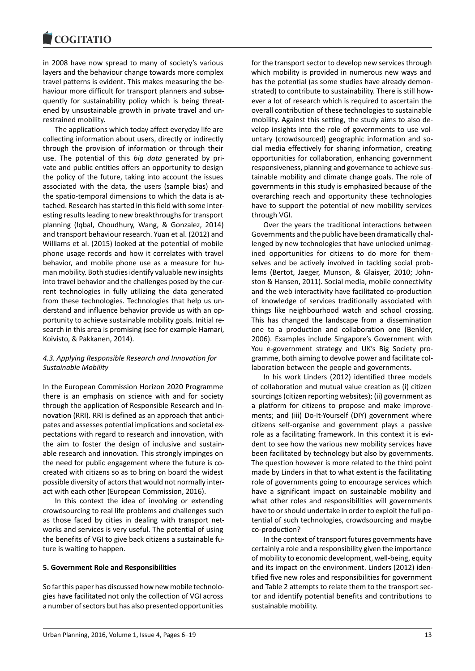in 2008 have now spread to many of society's various layers and the behaviour change towards more complex travel patterns is evident. This makes measuring the behaviour more difficult for transport planners and subsequently for sustainability policy which is being threatened by unsustainable growth in private travel and unrestrained mobility.

The applications which today affect everyday life are collecting information about users, directly or indirectly through the provision of information or through their use. The potential of this *big data* generated by private and public entities offers an opportunity to design the policy of the future, taking into account the issues associated with the data, the users (sample bias) and the spatio-temporal dimensions to which the data is attached. Research has started in this field with some interesting results leading to new breakthroughs for transport planning (Iqbal, Choudhury, Wang, & Gonzalez, 2014) and transport behaviour research. Yuan et al. (2012) and Williams et al. (2015) looked at the potential of mobile phone usage records and how it correlates with travel behavior, and mobile phone use as a measure for human mobility. Both studies identify valuable new insights into travel behavior and the challenges posed by the current technologies in fully utilizing the data generated from these technologies. Technologies that help us understand and influence behavior provide us with an opportunity to achieve sustainable mobility goals. Initial research in this area is promising (see for example Hamari, Koivisto, & Pakkanen, 2014).

### *4.3. Applying Responsible Research and Innovation for Sustainable Mobility*

In the European Commission Horizon 2020 Programme there is an emphasis on science with and for society through the application of Responsible Research and Innovation (RRI). RRI is defined as an approach that anticipates and assesses potential implications and societal expectations with regard to research and innovation, with the aim to foster the design of inclusive and sustainable research and innovation. This strongly impinges on the need for public engagement where the future is cocreated with citizens so as to bring on board the widest possible diversity of actors that would not normally interact with each other (European Commission, 2016).

In this context the idea of involving or extending crowdsourcing to real life problems and challenges such as those faced by cities in dealing with transport networks and services is very useful. The potential of using the benefits of VGI to give back citizens a sustainable future is waiting to happen.

### **5. Government Role and Responsibilities**

So far this paper has discussed how new mobile technologies have facilitated not only the collection of VGI across a number of sectors but has also presented opportunities

for the transport sector to develop new services through which mobility is provided in numerous new ways and has the potential (as some studies have already demonstrated) to contribute to sustainability. There is still however a lot of research which is required to ascertain the overall contribution of these technologies to sustainable mobility. Against this setting, the study aims to also develop insights into the role of governments to use voluntary (crowdsourced) geographic information and social media effectively for sharing information, creating opportunities for collaboration, enhancing government responsiveness, planning and governance to achieve sustainable mobility and climate change goals. The role of governments in this study is emphasized because of the overarching reach and opportunity these technologies have to support the potential of new mobility services through VGI.

Over the years the traditional interactions between Governments and the public have been dramatically challenged by new technologies that have unlocked unimagined opportunities for citizens to do more for themselves and be actively involved in tackling social problems (Bertot, Jaeger, Munson, & Glaisyer, 2010; Johnston & Hansen, 2011). Social media, mobile connectivity and the web interactivity have facilitated co-production of knowledge of services traditionally associated with things like neighbourhood watch and school crossing. This has changed the landscape from a dissemination one to a production and collaboration one (Benkler, 2006). Examples include Singapore's Government with You e-government strategy and UK's Big Society programme, both aiming to devolve power and facilitate collaboration between the people and governments.

In his work Linders (2012) identified three models of collaboration and mutual value creation as (i) citizen sourcings (citizen reporting websites); (ii) government as a platform for citizens to propose and make improvements; and (iii) Do-It-Yourself (DIY) government where citizens self-organise and government plays a passive role as a facilitating framework. In this context it is evident to see how the various new mobility services have been facilitated by technology but also by governments. The question however is more related to the third point made by Linders in that to what extent is the facilitating role of governments going to encourage services which have a significant impact on sustainable mobility and what other roles and responsibilities will governments have to or should undertake in order to exploit the full potential of such technologies, crowdsourcing and maybe co-production?

In the context of transport futures governments have certainly a role and a responsibility given the importance of mobility to economic development, well-being, equity and its impact on the environment. Linders (2012) identified five new roles and responsibilities for government and Table 2 attempts to relate them to the transport sector and identify potential benefits and contributions to sustainable mobility.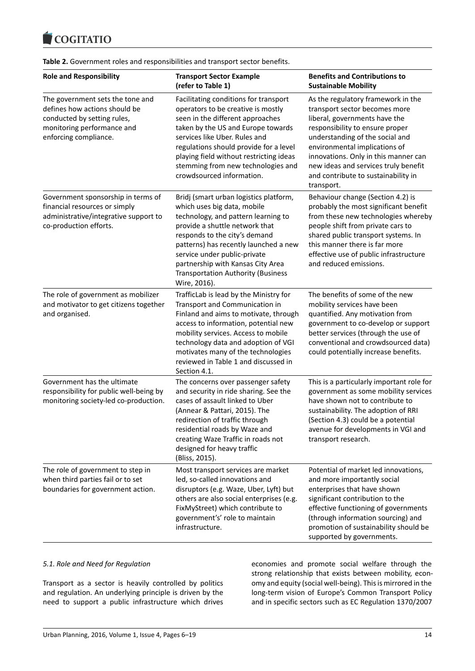

**Table 2.** Government roles and responsibilities and transport sector benefits.

| <b>Role and Responsibility</b>                                                                                                                          | <b>Transport Sector Example</b><br>(refer to Table 1)                                                                                                                                                                                                                                                                                                      | <b>Benefits and Contributions to</b><br><b>Sustainable Mobility</b>                                                                                                                                                                                                                                                                              |  |  |
|---------------------------------------------------------------------------------------------------------------------------------------------------------|------------------------------------------------------------------------------------------------------------------------------------------------------------------------------------------------------------------------------------------------------------------------------------------------------------------------------------------------------------|--------------------------------------------------------------------------------------------------------------------------------------------------------------------------------------------------------------------------------------------------------------------------------------------------------------------------------------------------|--|--|
| The government sets the tone and<br>defines how actions should be<br>conducted by setting rules,<br>monitoring performance and<br>enforcing compliance. | Facilitating conditions for transport<br>operators to be creative is mostly<br>seen in the different approaches<br>taken by the US and Europe towards<br>services like Uber. Rules and<br>regulations should provide for a level<br>playing field without restricting ideas<br>stemming from new technologies and<br>crowdsourced information.             | As the regulatory framework in the<br>transport sector becomes more<br>liberal, governments have the<br>responsibility to ensure proper<br>understanding of the social and<br>environmental implications of<br>innovations. Only in this manner can<br>new ideas and services truly benefit<br>and contribute to sustainability in<br>transport. |  |  |
| Government sponsorship in terms of<br>financial resources or simply<br>administrative/integrative support to<br>co-production efforts.                  | Bridj (smart urban logistics platform,<br>which uses big data, mobile<br>technology, and pattern learning to<br>provide a shuttle network that<br>responds to the city's demand<br>patterns) has recently launched a new<br>service under public-private<br>partnership with Kansas City Area<br><b>Transportation Authority (Business</b><br>Wire, 2016). | Behaviour change (Section 4.2) is<br>probably the most significant benefit<br>from these new technologies whereby<br>people shift from private cars to<br>shared public transport systems. In<br>this manner there is far more<br>effective use of public infrastructure<br>and reduced emissions.                                               |  |  |
| The role of government as mobilizer<br>and motivator to get citizens together<br>and organised.                                                         | TrafficLab is lead by the Ministry for<br>Transport and Communication in<br>Finland and aims to motivate, through<br>access to information, potential new<br>mobility services. Access to mobile<br>technology data and adoption of VGI<br>motivates many of the technologies<br>reviewed in Table 1 and discussed in<br>Section 4.1.                      | The benefits of some of the new<br>mobility services have been<br>quantified. Any motivation from<br>government to co-develop or support<br>better services (through the use of<br>conventional and crowdsourced data)<br>could potentially increase benefits.                                                                                   |  |  |
| Government has the ultimate<br>responsibility for public well-being by<br>monitoring society-led co-production.                                         | The concerns over passenger safety<br>and security in ride sharing. See the<br>cases of assault linked to Uber<br>(Annear & Pattari, 2015). The<br>redirection of traffic through<br>residential roads by Waze and<br>creating Waze Traffic in roads not<br>designed for heavy traffic<br>(Bliss, 2015).                                                   | This is a particularly important role for<br>government as some mobility services<br>have shown not to contribute to<br>sustainability. The adoption of RRI<br>(Section 4.3) could be a potential<br>avenue for developments in VGI and<br>transport research.                                                                                   |  |  |
| The role of government to step in<br>when third parties fail or to set<br>boundaries for government action.                                             | Most transport services are market<br>led, so-called innovations and<br>disruptors (e.g. Waze, Uber, Lyft) but<br>others are also social enterprises (e.g.<br>FixMyStreet) which contribute to<br>government's' role to maintain<br>infrastructure.                                                                                                        | Potential of market led innovations,<br>and more importantly social<br>enterprises that have shown<br>significant contribution to the<br>effective functioning of governments<br>(through information sourcing) and<br>promotion of sustainability should be<br>supported by governments.                                                        |  |  |

#### *5.1. Role and Need for Regulation*

Transport as a sector is heavily controlled by politics and regulation. An underlying principle is driven by the need to support a public infrastructure which drives economies and promote social welfare through the strong relationship that exists between mobility, economy and equity (social well-being). This is mirrored in the long-term vision of Europe's Common Transport Policy and in specific sectors such as EC Regulation 1370/2007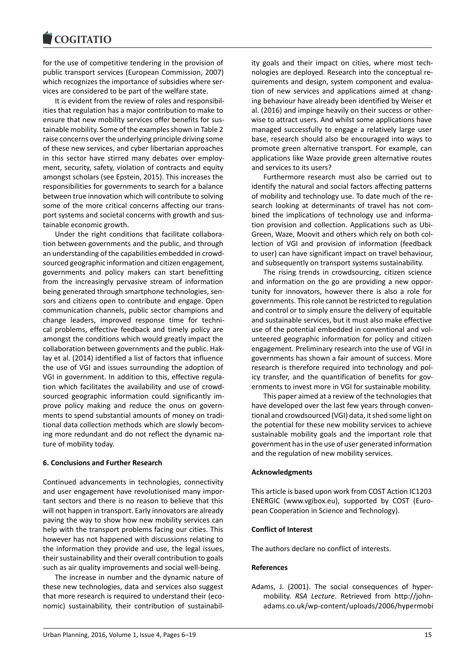for the use of competitive tendering in the provision of public transport services (European Commission, 2007) which recognizes the importance of subsidies where services are considered to be part of the welfare state.

It is evident from the review of roles and responsibilities that regulation has a major contribution to make to ensure that new mobility services offer benefits for sustainable mobility. Some of the examples shown in Table 2 raise concerns over the underlying principle driving some of these new services, and cyber libertarian approaches in this sector have stirred many debates over employment, security, safety, violation of contracts and equity amongst scholars (see Epstein, 2015). This increases the responsibilities for governments to search for a balance between true innovation which will contribute to solving some of the more critical concerns affecting our transport systems and societal concerns with growth and sustainable economic growth.

Under the right conditions that facilitate collaboration between governments and the public, and through an understanding of the capabilities embedded in crowdsourced geographic information and citizen engagement, governments and policy makers can start benefitting from the increasingly pervasive stream of information being generated through smartphone technologies, sensors and citizens open to contribute and engage. Open communication channels, public sector champions and change leaders, improved response time for technical problems, effective feedback and timely policy are amongst the conditions which would greatly impact the collaboration between governments and the public. Haklay et al. (2014) identified a list of factors that influence the use of VGI and issues surrounding the adoption of VGI in government. In addition to this, effective regulation which facilitates the availability and use of crowdsourced geographic information could significantly improve policy making and reduce the onus on governments to spend substantial amounts of money on traditional data collection methods which are slowly becoming more redundant and do not reflect the dynamic nature of mobility today.

### **6. Conclusions and Further Research**

Continued advancements in technologies, connectivity and user engagement have revolutionised many important sectors and there is no reason to believe that this will not happen in transport. Early innovators are already paving the way to show how new mobility services can help with the transport problems facing our cities. This however has not happened with discussions relating to the information they provide and use, the legal issues, their sustainability and their overall contribution to goals such as air quality improvements and social well-being.

The increase in number and the dynamic nature of these new technologies, data and services also suggest that more research is required to understand their (economic) sustainability, their contribution of sustainability goals and their impact on cities, where most technologies are deployed. Research into the conceptual requirements and design, system component and evaluation of new services and applications aimed at changing behaviour have already been identified by Weiser et al. (2016) and impinge heavily on their success or otherwise to attract users. And whilst some applications have managed successfully to engage a relatively large user base, research should also be encouraged into ways to promote green alternative transport. For example, can applications like Waze provide green alternative routes and services to its users?

Furthermore research must also be carried out to identify the natural and social factors affecting patterns of mobility and technology use. To date much of the research looking at determinants of travel has not combined the implications of technology use and information provision and collection. Applications such as Ubi-Green, Waze, Moovit and others which rely on both collection of VGI and provision of information (feedback to user) can have significant impact on travel behaviour, and subsequently on transport systems sustainability.

The rising trends in crowdsourcing, citizen science and information on the go are providing a new opportunity for innovators, however there is also a role for governments. This role cannot be restricted to regulation and control or to simply ensure the delivery of equitable and sustainable services, but it must also make effective use of the potential embedded in conventional and volunteered geographic information for policy and citizen engagement. Preliminary research into the use of VGI in governments has shown a fair amount of success. More research is therefore required into technology and policy transfer, and the quantification of benefits for governments to invest more in VGI for sustainable mobility.

This paper aimed at a review of the technologies that have developed over the last few years through conventional and crowdsourced (VGI) data, it shed some light on the potential for these new mobility services to achieve sustainable mobility goals and the important role that government has in the use of user generated information and the regulation of new mobility services.

### **Acknowledgments**

This article is based upon work from COST Action IC1203 ENERGIC (www.vgibox.eu), supported by COST (European Cooperation in Science and Technology).

#### **Conflict of Interest**

The authors declare no conflict of interests.

#### **References**

Adams, J. (2001). The social consequences of hypermobility. *RSA Lecture*. Retrieved from http://johnadams.co.uk/wp-content/uploads/2006/hypermobi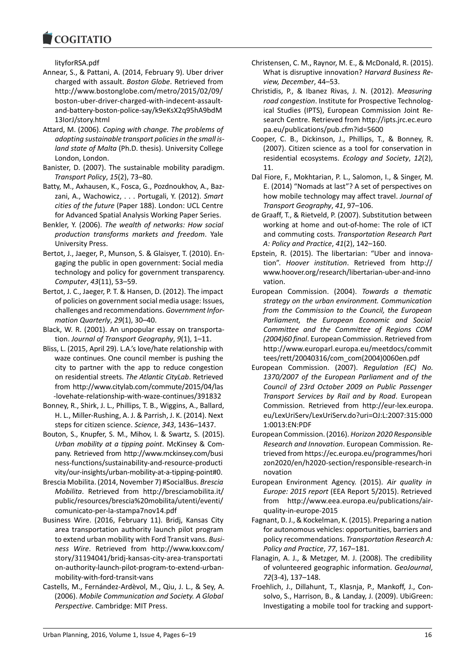lityforRSA.pdf

- Annear, S., & Pattani, A. (2014, February 9). Uber driver charged with assault. *Boston Globe*. Retrieved from http://www.bostonglobe.com/metro/2015/02/09/ boston-uber-driver-charged-with-indecent-assaultand-battery-boston-police-say/k9eKsX2q95hA9bdM 13IorJ/story.html
- Attard, M. (2006). *Coping with change. The problems of adopting sustainable transport policies in the small island state of Malta* (Ph.D. thesis). University College London, London.
- Banister, D. (2007). The sustainable mobility paradigm. *Transport Policy*, *15*(2), 73–80.
- Batty, M., Axhausen, K., Fosca, G., Pozdnoukhov, A., Bazzani, A., Wachowicz, . . . Portugali, Y. (2012). *Smart cities of the future* (Paper 188). London: UCL Centre for Advanced Spatial Analysis Working Paper Series.
- Benkler, Y. (2006). *The wealth of networks: How social production transforms markets and freedom*. Yale University Press.
- Bertot, J., Jaeger, P., Munson, S. & Glaisyer, T. (2010). Engaging the public in open government: Social media technology and policy for government transparency. *Computer*, *43*(11), 53–59.
- Bertot, J. C., Jaeger, P. T. & Hansen, D. (2012). The impact of policies on government social media usage: Issues, challenges and recommendations. *Government Information Quarterly*, *29*(1), 30–40.
- Black, W. R. (2001). An unpopular essay on transportation. *Journal of Transport Geography*, *9*(1), 1–11.
- Bliss, L. (2015, April 29). L.A.'s love/hate relationship with waze continues. One council member is pushing the city to partner with the app to reduce congestion on residential streets. *The Atlantic CityLab*. Retrieved from http://www.citylab.com/commute/2015/04/las -lovehate-relationship-with-waze-continues/391832
- Bonney, R., Shirk, J. L., Phillips, T. B., Wiggins, A., Ballard, H. L., Miller-Rushing, A. J. & Parrish, J. K. (2014). Next steps for citizen science. *Science*, *343*, 1436–1437.
- Bouton, S., Knupfer, S. M., Mihov, I. & Swartz, S. (2015). *Urban mobility at a tipping point*. McKinsey & Company. Retrieved from http://www.mckinsey.com/busi ness-functions/sustainability-and-resource-producti vity/our-insights/urban-mobility-at-a-tipping-point#0.
- Brescia Mobilita. (2014, November 7) #SocialBus. *Brescia Mobilita*. Retrieved from http://bresciamobilita.it/ public/resources/brescia%20mobilita/utenti/eventi/ comunicato-per-la-stampa7nov14.pdf
- Business Wire. (2016, February 11). Bridj, Kansas City area transportation authority launch pilot program to extend urban mobility with Ford Transit vans. *Business Wire*. Retrieved from http://www.kxxv.com/ story/31194041/bridj-kansas-city-area-transportati on-authority-launch-pilot-program-to-extend-urbanmobility-with-ford-transit-vans
- Castells, M., Fernández-Ardèvol, M., Qiu, J. L., & Sey, A. (2006). *Mobile Communication and Society. A Global Perspective*. Cambridge: MIT Press.
- Christensen, C. M., Raynor, M. E., & McDonald, R. (2015). What is disruptive innovation? *Harvard Business Review, December*, 44–53.
- Christidis, P., & Ibanez Rivas, J. N. (2012). *Measuring road congestion*. Institute for Prospective Technological Studies (IPTS), European Commission Joint Research Centre. Retrieved from http://ipts.jrc.ec.euro pa.eu/publications/pub.cfm?id=5600
- Cooper, C. B., Dickinson, J., Phillips, T., & Bonney, R. (2007). Citizen science as a tool for conservation in residential ecosystems. *Ecology and Society*, *12*(2), 11.
- Dal Fiore, F., Mokhtarian, P. L., Salomon, I., & Singer, M. E. (2014) "Nomads at last"? A set of perspectives on how mobile technology may affect travel. *Journal of Transport Geography*, *41*, 97–106.
- de Graaff, T., & Rietveld, P. (2007). Substitution between working at home and out-of-home: The role of ICT and commuting costs. *Transportation Research Part A: Policy and Practice*, *41*(2), 142–160.
- Epstein, R. (2015). The libertarian: "Uber and innovation". *Hoover institution*. Retrieved from http:// www.hoover.org/research/libertarian-uber-and-inno vation.
- European Commission. (2004). *Towards a thematic strategy on the urban environment. Communication from the Commission to the Council, the European Parliament, the European Economic and Social Committee and the Committee of Regions COM (2004)60 final*. European Commission. Retrieved from http://www.europarl.europa.eu/meetdocs/commit tees/rett/20040316/com\_com(2004)0060en.pdf
- European Commission. (2007). *Regulation (EC) No. 1370/2007 of the European Parliament and of the Council of 23rd October 2009 on Public Passenger Transport Services by Rail and by Road*. European Commission. Retrieved from http://eur-lex.europa. eu/LexUriServ/LexUriServ.do?uri=OJ:L:2007:315:000 1:0013:EN:PDF
- European Commission. (2016). *Horizon 2020 Responsible Research and Innovation*. European Commission. Retrieved from https://ec.europa.eu/programmes/hori zon2020/en/h2020-section/responsible-research-in novation
- European Environment Agency. (2015). *Air quality in Europe: 2015 report* (EEA Report 5/2015). Retrieved from http://www.eea.europa.eu/publications/airquality-in-europe-2015
- Fagnant, D. J., & Kockelman, K. (2015). Preparing a nation for autonomous vehicles: opportunities, barriers and policy recommendations. *Transportation Research A: Policy and Practice*, *77*, 167–181.
- Flanagin, A. J., & Metzger, M. J. (2008). The credibility of volunteered geographic information. *GeoJournal*, *72*(3-4), 137–148.
- Froehlich, J., Dillahunt, T., Klasnja, P., Mankoff, J., Consolvo, S., Harrison, B., & Landay, J. (2009). UbiGreen: Investigating a mobile tool for tracking and support-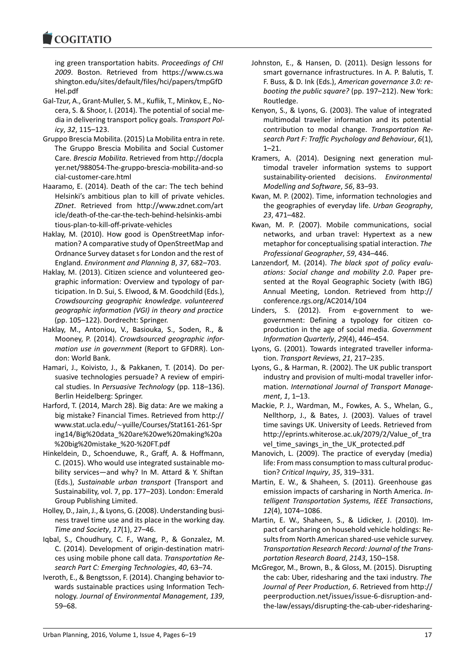#### COMITATIO

ing green transportation habits. *Proceedings of CHI 2009*. Boston. Retrieved from https://www.cs.wa shington.edu/sites/default/files/hci/papers/tmpGfD Hel.pdf

- Gal-Tzur, A., Grant-Muller, S. M., Kuflik, T., Minkov, E., Nocera, S. & Shoor, I. (2014). The potential of social media in delivering transport policy goals. *Transport Policy*, *32*, 115–123.
- Gruppo Brescia Mobilita. (2015) La Mobilita entra in rete. The Gruppo Brescia Mobilita and Social Customer Care. *Brescia Mobilita*. Retrieved from http://docpla yer.net/988054-The-gruppo-brescia-mobilita-and-so cial-customer-care.html
- Haaramo, E. (2014). Death of the car: The tech behind Helsinki's ambitious plan to kill of private vehicles. *ZDnet*. Retrieved from http://www.zdnet.com/art icle/death-of-the-car-the-tech-behind-helsinkis-ambi tious-plan-to-kill-off-private-vehicles
- Haklay, M. (2010). How good is OpenStreetMap information? A comparative study of OpenStreetMap and Ordnance Survey dataset s for London and the rest of England. *Environment and Planning B*, *37*, 682–703.
- Haklay, M. (2013). Citizen science and volunteered geographic information: Overview and typology of participation. In D. Sui, S. Elwood, & M. Goodchild (Eds.), *Crowdsourcing geographic knowledge. volunteered geographic information (VGI) in theory and practice* (pp. 105–122). Dordrecht: Springer.
- Haklay, M., Antoniou, V., Basiouka, S., Soden, R., & Mooney, P. (2014). *Crowdsourced geographic information use in government* (Report to GFDRR). London: World Bank.
- Hamari, J., Koivisto, J., & Pakkanen, T. (2014). Do persuasive technologies persuade? A review of empirical studies. In *Persuasive Technology* (pp. 118–136). Berlin Heidelberg: Springer.
- Harford, T. (2014, March 28). Big data: Are we making a big mistake? Financial Times. Retrieved from http:// www.stat.ucla.edu/∼yuille/Courses/Stat161-261-Spr ing14/Big%20data\_%20are%20we%20making%20a %20big%20mistake\_%20-%20FT.pdf
- Hinkeldein, D., Schoenduwe, R., Graff, A. & Hoffmann, C. (2015). Who would use integrated sustainable mobility services—and why? In M. Attard & Y. Shiftan (Eds.), *Sustainable urban transport* (Transport and Sustainability, vol. 7, pp. 177–203). London: Emerald Group Publishing Limited.
- Holley, D., Jain, J., & Lyons, G. (2008). Understanding business travel time use and its place in the working day. *Time and Society*, *17*(1), 27–46.
- Iqbal, S., Choudhury, C. F., Wang, P., & Gonzalez, M. C. (2014). Development of origin-destination matrices using mobile phone call data. *Transportation Research Part C: Emerging Technologies*, *40*, 63–74.
- Iveroth, E., & Bengtsson, F. (2014). Changing behavior towards sustainable practices using Information Technology. *Journal of Environmental Management*, *139*, 59–68.
- Johnston, E., & Hansen, D. (2011). Design lessons for smart governance infrastructures. In A. P. Balutis, T. F. Buss, & D. Ink (Eds.), *American governance 3.0: rebooting the public square?* (pp. 197–212). New York: Routledge.
- Kenyon, S., & Lyons, G. (2003). The value of integrated multimodal traveller information and its potential contribution to modal change. *Transportation Research Part F: Traffic Psychology and Behaviour*, *6*(1), 1–21.
- Kramers, A. (2014). Designing next generation multimodal traveler information systems to support sustainability-oriented decisions. *Environmental Modelling and Software*, *56*, 83–93.
- Kwan, M. P. (2002). Time, information technologies and the geographies of everyday life. *Urban Geography*, *23*, 471–482.
- Kwan, M. P. (2007). Mobile communications, social networks, and urban travel: Hypertext as a new metaphor for conceptualising spatial interaction. *The Professional Geographer*, *59*, 434–446.
- Lanzendorf, M. (2014). *The black spot of policy evaluations: Social change and mobility 2.0*. Paper presented at the Royal Geographic Society (with IBG) Annual Meeting, London. Retrieved from http:// conference.rgs.org/AC2014/104
- Linders, S. (2012). From e-government to wegovernment: Defining a typology for citizen coproduction in the age of social media. *Government Information Quarterly*, *29*(4), 446–454.
- Lyons, G. (2001). Towards integrated traveller information. *Transport Reviews*, *21*, 217–235.
- Lyons, G., & Harman, R. (2002). The UK public transport industry and provision of multi-modal traveller information. *International Journal of Transport Management*, *1*, 1–13.
- Mackie, P. J., Wardman, M., Fowkes, A. S., Whelan, G., Nellthorp, J., & Bates, J. (2003). Values of travel time savings UK. University of Leeds. Retrieved from http://eprints.whiterose.ac.uk/2079/2/Value of tra vel time savings\_in\_the\_UK\_protected.pdf
- Manovich, L. (2009). The practice of everyday (media) life: From mass consumption to mass cultural production? *Critical Inquiry*, *35*, 319–331.
- Martin, E. W., & Shaheen, S. (2011). Greenhouse gas emission impacts of carsharing in North America. *Intelligent Transportation Systems, IEEE Transactions*, *12*(4), 1074–1086.
- Martin, E. W., Shaheen, S., & Lidicker, J. (2010). Impact of carsharing on household vehicle holdings: Results from North American shared-use vehicle survey. *Transportation Research Record: Journal of the Transportation Research Board*, *2143*, 150–158.
- McGregor, M., Brown, B., & Gloss, M. (2015). Disrupting the cab: Uber, ridesharing and the taxi industry. *The Journal of Peer Production*, *6*. Retrieved from http:// peerproduction.net/issues/issue-6-disruption-andthe-law/essays/disrupting-the-cab-uber-ridesharing-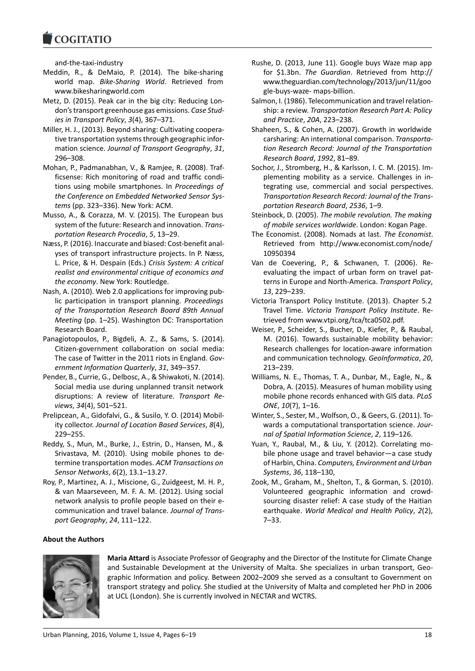and-the-taxi-industry

- Meddin, R., & DeMaio, P. (2014). The bike-sharing world map. *Bike-Sharing World*. Retrieved from www.bikesharingworld.com
- Metz, D. (2015). Peak car in the big city: Reducing London's transport greenhouse gas emissions. *Case Studies in Transport Policy*, *3*(4), 367–371.
- Miller, H. J., (2013). Beyond sharing: Cultivating cooperative transportation systems through geographic information science. *Journal of Transport Geography*, *31*, 296–308.
- Mohan, P., Padmanabhan, V., & Ramjee, R. (2008). Trafficsense: Rich monitoring of road and traffic conditions using mobile smartphones. In *Proceedings of the Conference on Embedded Networked Sensor Systems* (pp. 323–336). New York: ACM.
- Musso, A., & Corazza, M. V. (2015). The European bus system of the future: Research and innovation. *Transportation Research Procedia*, *5*, 13–29.
- Næss, P. (2016). Inaccurate and biased: Cost-benefit analyses of transport infrastructure projects. In P. Næss, L. Price, & H. Despain (Eds.) *Crisis System: A critical realist and environmental critique of economics and the economy*. New York: Routledge.
- Nash, A. (2010). Web 2.0 applications for improving public participation in transport planning. *Proceedings of the Transportation Research Board 89th Annual Meeting* (pp. 1–25). Washington DC: Transportation Research Board.
- Panagiotopoulos, P., Bigdeli, A. Z., & Sams, S. (2014). Citizen-government collaboration on social media: The case of Twitter in the 2011 riots in England. *Government Information Quarterly*, *31*, 349–357.
- Pender, B., Currie, G., Delbosc, A., & Shiwakoti, N. (2014). Social media use during unplanned transit network disruptions: A review of literature. *Transport Reviews*, *34*(4), 501–521.
- Prelipcean, A., Gidofalvi, G., & Susilo, Y. O. (2014) Mobility collector. *Journal of Location Based Services*, *8*(4), 229–255.
- Reddy, S., Mun, M., Burke, J., Estrin, D., Hansen, M., & Srivastava, M. (2010). Using mobile phones to determine transportation modes. *ACM Transactions on Sensor Networks*, *6*(2), 13.1–13.27.
- Roy, P., Martinez, A. J., Miscione, G., Zuidgeest, M. H. P., & van Maarseveen, M. F. A. M. (2012). Using social network analysis to profile people based on their ecommunication and travel balance. *Journal of Transport Geography*, *24*, 111–122.

### Rushe, D. (2013, June 11). Google buys Waze map app for \$1.3bn. *The Guardian*. Retrieved from http:// www.theguardian.com/technology/2013/jun/11/goo gle-buys-waze- maps-billion.

- Salmon, I. (1986). Telecommunication and travel relationship: a review. *Transportation Research Part A: Policy and Practice*, *20A*, 223–238.
- Shaheen, S., & Cohen, A. (2007). Growth in worldwide carsharing: An international comparison. *Transportation Research Record: Journal of the Transportation Research Board*, *1992*, 81–89.
- Sochor, J., Stromberg, H., & Karlsson, I. C. M. (2015). Implementing mobility as a service. Challenges in integrating use, commercial and social perspectives. *Transportation Research Record: Journal of the Transportation Research Board*, *2536*, 1–9.
- Steinbock, D. (2005). *The mobile revolution. The making of mobile services worldwide*. London: Kogan Page.
- The Economist. (2008). Nomads at last. *The Economist*. Retrieved from http://www.economist.com/node/ 10950394
- Van de Coevering, P., & Schwanen, T. (2006). Reevaluating the impact of urban form on travel patterns in Europe and North-America. *Transport Policy*, *13*, 229–239.
- Victoria Transport Policy Institute. (2013). Chapter 5.2 Travel Time. *Victoria Transport Policy Institute*. Retrieved from www.vtpi.org/tca/tca0502.pdf.
- Weiser, P., Scheider, S., Bucher, D., Kiefer, P., & Raubal, M. (2016). Towards sustainable mobility behavior: Research challenges for location-aware information and communication technology. *GeoInformatica*, *20*, 213–239.
- Williams, N. E., Thomas, T. A., Dunbar, M., Eagle, N., & Dobra, A. (2015). Measures of human mobility using mobile phone records enhanced with GIS data. *PLoS ONE*, *10*(7), 1–16.
- Winter, S., Sester, M., Wolfson, O., & Geers, G. (2011). Towards a computational transportation science. *Journal of Spatial Information Science*, *2*, 119–126.
- Yuan, Y., Raubal, M., & Liu, Y. (2012). Correlating mobile phone usage and travel behavior—a case study of Harbin, China. *Computers, Environment and Urban Systems*, *36*, 118–130,
- Zook, M., Graham, M., Shelton, T., & Gorman, S. (2010). Volunteered geographic information and crowdsourcing disaster relief: A case study of the Haitian earthquake. *World Medical and Health Policy*, *2*(2), 7–33.

## **About the Authors**



**Maria Attard** is Associate Professor of Geography and the Director of the Institute for Climate Change and Sustainable Development at the University of Malta. She specializes in urban transport, Geographic Information and policy. Between 2002–2009 she served as a consultant to Government on transport strategy and policy. She studied at the University of Malta and completed her PhD in 2006 at UCL (London). She is currently involved in NECTAR and WCTRS.